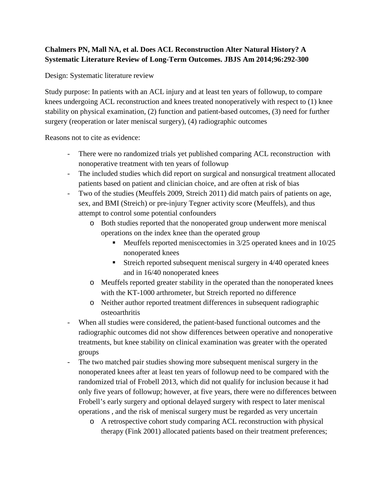## **Chalmers PN, Mall NA, et al. Does ACL Reconstruction Alter Natural History? A Systematic Literature Review of Long-Term Outcomes. JBJS Am 2014;96:292-300**

Design: Systematic literature review

Study purpose: In patients with an ACL injury and at least ten years of followup, to compare knees undergoing ACL reconstruction and knees treated nonoperatively with respect to (1) knee stability on physical examination, (2) function and patient-based outcomes, (3) need for further surgery (reoperation or later meniscal surgery), (4) radiographic outcomes

Reasons not to cite as evidence:

- There were no randomized trials yet published comparing ACL reconstruction with nonoperative treatment with ten years of followup
- The included studies which did report on surgical and nonsurgical treatment allocated patients based on patient and clinician choice, and are often at risk of bias
- Two of the studies (Meuffels 2009, Streich 2011) did match pairs of patients on age, sex, and BMI (Streich) or pre-injury Tegner activity score (Meuffels), and thus attempt to control some potential confounders
	- o Both studies reported that the nonoperated group underwent more meniscal operations on the index knee than the operated group
		- **Meuffels reported meniscectomies in 3/25 operated knees and in 10/25** nonoperated knees
		- Streich reported subsequent meniscal surgery in 4/40 operated knees and in 16/40 nonoperated knees
	- o Meuffels reported greater stability in the operated than the nonoperated knees with the KT-1000 arthrometer, but Streich reported no difference
	- o Neither author reported treatment differences in subsequent radiographic osteoarthritis
- When all studies were considered, the patient-based functional outcomes and the radiographic outcomes did not show differences between operative and nonoperative treatments, but knee stability on clinical examination was greater with the operated groups
- The two matched pair studies showing more subsequent meniscal surgery in the nonoperated knees after at least ten years of followup need to be compared with the randomized trial of Frobell 2013, which did not qualify for inclusion because it had only five years of followup; however, at five years, there were no differences between Frobell's early surgery and optional delayed surgery with respect to later meniscal operations , and the risk of meniscal surgery must be regarded as very uncertain
	- o A retrospective cohort study comparing ACL reconstruction with physical therapy (Fink 2001) allocated patients based on their treatment preferences;